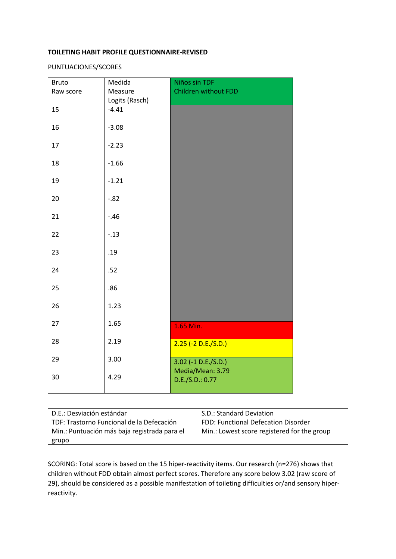## **TOILETING HABIT PROFILE QUESTIONNAIRE-REVISED**

PUNTUACIONES/SCORES

| Medida         | Niños sin TDF                             |
|----------------|-------------------------------------------|
| Measure        | Children without FDD                      |
| Logits (Rasch) |                                           |
| $-4.41$        |                                           |
| $-3.08$        |                                           |
| $-2.23$        |                                           |
| $-1.66$        |                                           |
| $-1.21$        |                                           |
| $-.82$         |                                           |
| $-.46$         |                                           |
| $-.13$         |                                           |
| .19            |                                           |
| .52            |                                           |
| .86            |                                           |
| 1.23           |                                           |
| 1.65           | 1.65 Min.                                 |
| 2.19           | $2.25$ (-2 D.E./S.D.)                     |
| 3.00           | $3.02$ (-1 D.E./S.D.)<br>Media/Mean: 3.79 |
| 4.29           | D.E./S.D.: 0.77                           |
|                |                                           |

| D.E.: Desviación estándar                    | S.D.: Standard Deviation                    |
|----------------------------------------------|---------------------------------------------|
| TDF: Trastorno Funcional de la Defecación    | FDD: Functional Defecation Disorder         |
| Min.: Puntuación más baja registrada para el | Min.: Lowest score registered for the group |
| grupo                                        |                                             |

SCORING: Total score is based on the 15 hiper-reactivity items. Our research (n=276) shows that children without FDD obtain almost perfect scores. Therefore any score below 3.02 (raw score of 29), should be considered as a possible manifestation of toileting difficulties or/and sensory hiperreactivity.